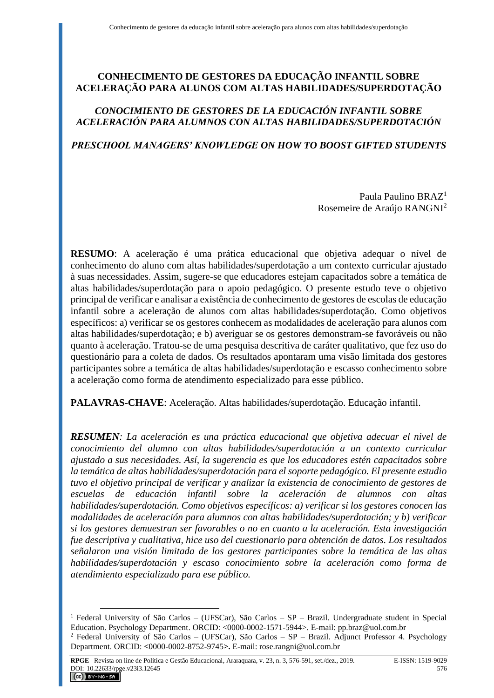# **CONHECIMENTO DE GESTORES DA EDUCAÇÃO INFANTIL SOBRE ACELERAÇÃO PARA ALUNOS COM ALTAS HABILIDADES/SUPERDOTAÇÃO**

# *CONOCIMIENTO DE GESTORES DE LA EDUCACIÓN INFANTIL SOBRE ACELERACIÓN PARA ALUMNOS CON ALTAS HABILIDADES/SUPERDOTACIÓN*

# *PRESCHOOL MANAGERS' KNOWLEDGE ON HOW TO BOOST GIFTED STUDENTS*

Paula Paulino BRAZ<sup>1</sup> Rosemeire de Araújo RANGNI<sup>2</sup>

**RESUMO**: A aceleração é uma prática educacional que objetiva adequar o nível de conhecimento do aluno com altas habilidades/superdotação a um contexto curricular ajustado à suas necessidades. Assim, sugere-se que educadores estejam capacitados sobre a temática de altas habilidades/superdotação para o apoio pedagógico. O presente estudo teve o objetivo principal de verificar e analisar a existência de conhecimento de gestores de escolas de educação infantil sobre a aceleração de alunos com altas habilidades/superdotação. Como objetivos específicos: a) verificar se os gestores conhecem as modalidades de aceleração para alunos com altas habilidades/superdotação; e b) averiguar se os gestores demonstram-se favoráveis ou não quanto à aceleração. Tratou-se de uma pesquisa descritiva de caráter qualitativo, que fez uso do questionário para a coleta de dados. Os resultados apontaram uma visão limitada dos gestores participantes sobre a temática de altas habilidades/superdotação e escasso conhecimento sobre a aceleração como forma de atendimento especializado para esse público.

**PALAVRAS-CHAVE**: Aceleração. Altas habilidades/superdotação. Educação infantil.

*RESUMEN: La aceleración es una práctica educacional que objetiva adecuar el nivel de conocimiento del alumno con altas habilidades/superdotación a un contexto curricular ajustado a sus necesidades. Así, la sugerencia es que los educadores estén capacitados sobre la temática de altas habilidades/superdotación para el soporte pedagógico. El presente estudio tuvo el objetivo principal de verificar y analizar la existencia de conocimiento de gestores de escuelas de educación infantil sobre la aceleración de alumnos con altas habilidades/superdotación. Como objetivos específicos: a) verificar si los gestores conocen las modalidades de aceleración para alumnos con altas habilidades/superdotación; y b) verificar si los gestores demuestran ser favorables o no en cuanto a la aceleración. Esta investigación fue descriptiva y cualitativa, hice uso del cuestionario para obtención de datos. Los resultados señalaron una visión limitada de los gestores participantes sobre la temática de las altas habilidades/superdotación y escaso conocimiento sobre la aceleración como forma de atendimiento especializado para ese público.*

<sup>1</sup> Federal University of São Carlos – (UFSCar), São Carlos – SP – Brazil. Undergraduate student in Special Education. Psychology Department. ORCID: <0000-0002-1571-5944>. E-mail: pp.braz@uol.com.br <sup>2</sup> Federal University of São Carlos – (UFSCar), São Carlos – SP – Brazil. Adjunct Professor 4. Psychology

Department. ORCID: **<**0000-0002-8752-9745**>.** E-mail: rose.rangni@uol.com.br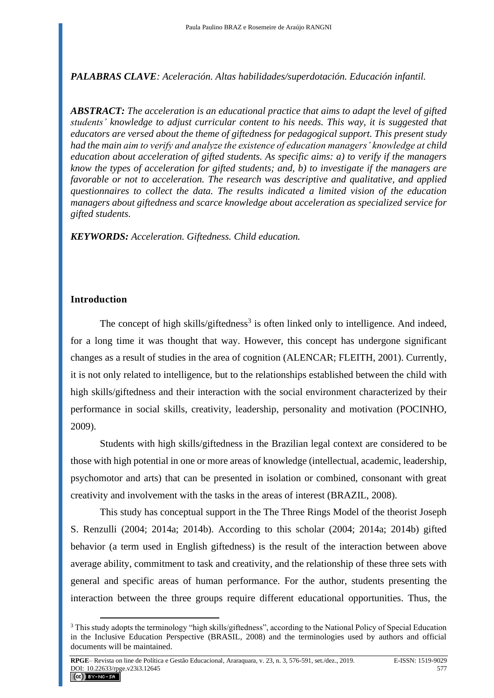## *PALABRAS CLAVE: Aceleración. Altas habilidades/superdotación. Educación infantil.*

*ABSTRACT: The acceleration is an educational practice that aims to adapt the level of gifted students' knowledge to adjust curricular content to his needs. This way, it is suggested that educators are versed about the theme of giftedness for pedagogical support. This present study had the main aim to verify and analyze the existence of education managers' knowledge at child education about acceleration of gifted students. As specific aims: a) to verify if the managers know the types of acceleration for gifted students; and, b) to investigate if the managers are favorable or not to acceleration. The research was descriptive and qualitative, and applied questionnaires to collect the data. The results indicated a limited vision of the education managers about giftedness and scarce knowledge about acceleration as specialized service for gifted students.*

*KEYWORDS: Acceleration. Giftedness. Child education.*

## **Introduction**

The concept of high skills/giftedness<sup>3</sup> is often linked only to intelligence. And indeed, for a long time it was thought that way. However, this concept has undergone significant changes as a result of studies in the area of cognition (ALENCAR; FLEITH, 2001). Currently, it is not only related to intelligence, but to the relationships established between the child with high skills/giftedness and their interaction with the social environment characterized by their performance in social skills, creativity, leadership, personality and motivation (POCINHO, 2009).

Students with high skills/giftedness in the Brazilian legal context are considered to be those with high potential in one or more areas of knowledge (intellectual, academic, leadership, psychomotor and arts) that can be presented in isolation or combined, consonant with great creativity and involvement with the tasks in the areas of interest (BRAZIL, 2008).

This study has conceptual support in the The Three Rings Model of the theorist Joseph S. Renzulli (2004; 2014a; 2014b). According to this scholar (2004; 2014a; 2014b) gifted behavior (a term used in English giftedness) is the result of the interaction between above average ability, commitment to task and creativity, and the relationship of these three sets with general and specific areas of human performance. For the author, students presenting the interaction between the three groups require different educational opportunities. Thus, the

<sup>&</sup>lt;sup>3</sup> This study adopts the terminology "high skills/giftedness", according to the National Policy of Special Education in the Inclusive Education Perspective (BRASIL, 2008) and the terminologies used by authors and official documents will be maintained.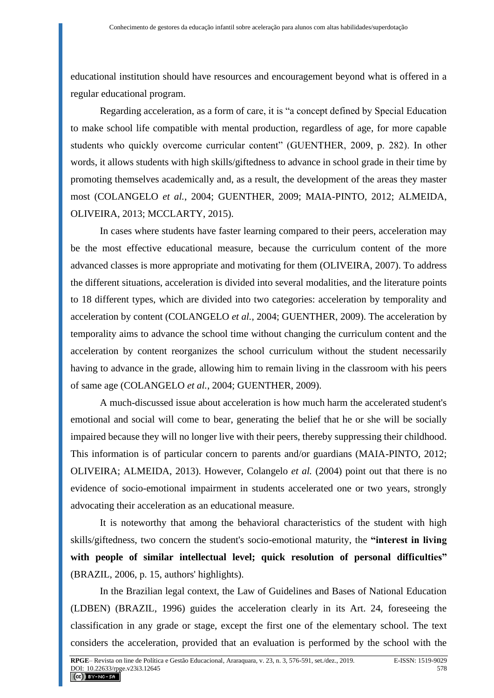educational institution should have resources and encouragement beyond what is offered in a regular educational program.

Regarding acceleration, as a form of care, it is "a concept defined by Special Education to make school life compatible with mental production, regardless of age, for more capable students who quickly overcome curricular content" (GUENTHER, 2009, p. 282). In other words, it allows students with high skills/giftedness to advance in school grade in their time by promoting themselves academically and, as a result, the development of the areas they master most (COLANGELO *et al.*, 2004; GUENTHER, 2009; MAIA-PINTO, 2012; ALMEIDA, OLIVEIRA, 2013; MCCLARTY, 2015).

In cases where students have faster learning compared to their peers, acceleration may be the most effective educational measure, because the curriculum content of the more advanced classes is more appropriate and motivating for them (OLIVEIRA, 2007). To address the different situations, acceleration is divided into several modalities, and the literature points to 18 different types, which are divided into two categories: acceleration by temporality and acceleration by content (COLANGELO *et al.*, 2004; GUENTHER, 2009). The acceleration by temporality aims to advance the school time without changing the curriculum content and the acceleration by content reorganizes the school curriculum without the student necessarily having to advance in the grade, allowing him to remain living in the classroom with his peers of same age (COLANGELO *et al.*, 2004; GUENTHER, 2009).

A much-discussed issue about acceleration is how much harm the accelerated student's emotional and social will come to bear, generating the belief that he or she will be socially impaired because they will no longer live with their peers, thereby suppressing their childhood. This information is of particular concern to parents and/or guardians (MAIA-PINTO, 2012; OLIVEIRA; ALMEIDA, 2013). However, Colangelo *et al.* (2004) point out that there is no evidence of socio-emotional impairment in students accelerated one or two years, strongly advocating their acceleration as an educational measure.

It is noteworthy that among the behavioral characteristics of the student with high skills/giftedness, two concern the student's socio-emotional maturity, the **"interest in living with people of similar intellectual level; quick resolution of personal difficulties"** (BRAZIL, 2006, p. 15, authors' highlights).

In the Brazilian legal context, the Law of Guidelines and Bases of National Education (LDBEN) (BRAZIL, 1996) guides the acceleration clearly in its Art. 24, foreseeing the classification in any grade or stage, except the first one of the elementary school. The text considers the acceleration, provided that an evaluation is performed by the school with the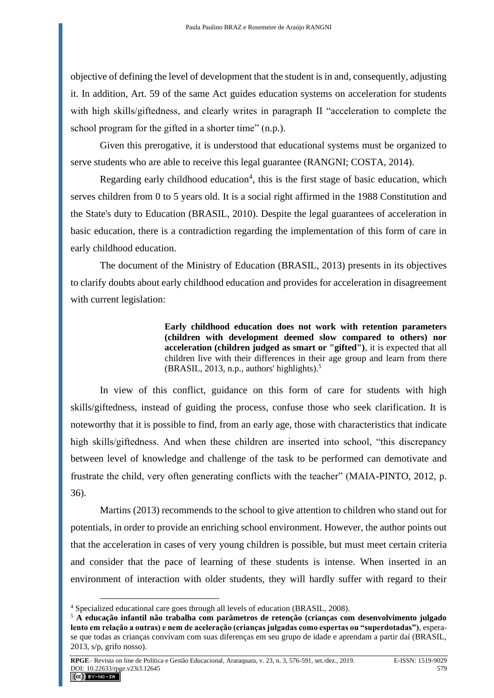objective of defining the level of development that the student is in and, consequently, adjusting it. In addition, Art. 59 of the same Act guides education systems on acceleration for students with high skills/giftedness, and clearly writes in paragraph II "acceleration to complete the school program for the gifted in a shorter time" (n.p.).

Given this prerogative, it is understood that educational systems must be organized to serve students who are able to receive this legal guarantee (RANGNI; COSTA, 2014).

Regarding early childhood education<sup>4</sup>, this is the first stage of basic education, which serves children from 0 to 5 years old. It is a social right affirmed in the 1988 Constitution and the State's duty to Education (BRASIL, 2010). Despite the legal guarantees of acceleration in basic education, there is a contradiction regarding the implementation of this form of care in early childhood education.

The document of the Ministry of Education (BRASIL, 2013) presents in its objectives to clarify doubts about early childhood education and provides for acceleration in disagreement with current legislation:

> **Early childhood education does not work with retention parameters (children with development deemed slow compared to others) nor acceleration (children judged as smart or "gifted")**, it is expected that all children live with their differences in their age group and learn from there (BRASIL, 2013, n.p., authors' highlights).<sup>5</sup>

In view of this conflict, guidance on this form of care for students with high skills/giftedness, instead of guiding the process, confuse those who seek clarification. It is noteworthy that it is possible to find, from an early age, those with characteristics that indicate high skills/giftedness. And when these children are inserted into school, "this discrepancy between level of knowledge and challenge of the task to be performed can demotivate and frustrate the child, very often generating conflicts with the teacher" (MAIA-PINTO, 2012, p. 36).

Martins (2013) recommends to the school to give attention to children who stand out for potentials, in order to provide an enriching school environment. However, the author points out that the acceleration in cases of very young children is possible, but must meet certain criteria and consider that the pace of learning of these students is intense. When inserted in an environment of interaction with older students, they will hardly suffer with regard to their

<sup>4</sup> Specialized educational care goes through all levels of education (BRASIL, 2008).

<sup>5</sup> **A educação infantil não trabalha com parâmetros de retenção (crianças com desenvolvimento julgado lento em relação a outras) e nem de aceleração (crianças julgadas como espertas ou "superdotadas")**, esperase que todas as crianças convivam com suas diferenças em seu grupo de idade e aprendam a partir daí (BRASIL, 2013, s/p, grifo nosso).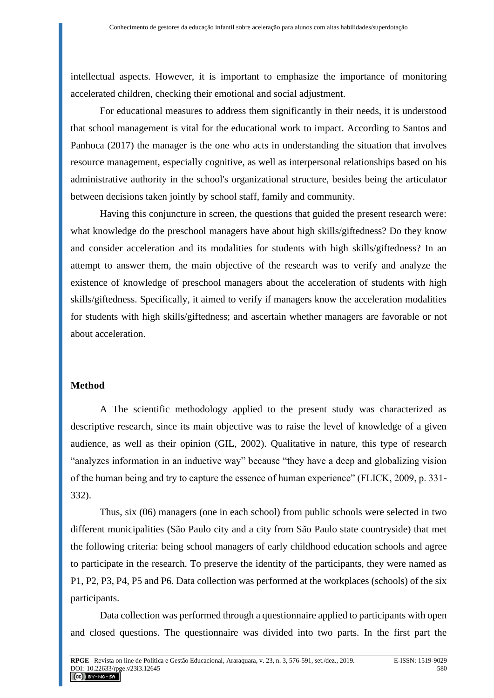intellectual aspects. However, it is important to emphasize the importance of monitoring accelerated children, checking their emotional and social adjustment.

For educational measures to address them significantly in their needs, it is understood that school management is vital for the educational work to impact. According to Santos and Panhoca (2017) the manager is the one who acts in understanding the situation that involves resource management, especially cognitive, as well as interpersonal relationships based on his administrative authority in the school's organizational structure, besides being the articulator between decisions taken jointly by school staff, family and community.

Having this conjuncture in screen, the questions that guided the present research were: what knowledge do the preschool managers have about high skills/giftedness? Do they know and consider acceleration and its modalities for students with high skills/giftedness? In an attempt to answer them, the main objective of the research was to verify and analyze the existence of knowledge of preschool managers about the acceleration of students with high skills/giftedness. Specifically, it aimed to verify if managers know the acceleration modalities for students with high skills/giftedness; and ascertain whether managers are favorable or not about acceleration.

### **Method**

A The scientific methodology applied to the present study was characterized as descriptive research, since its main objective was to raise the level of knowledge of a given audience, as well as their opinion (GIL, 2002). Qualitative in nature, this type of research "analyzes information in an inductive way" because "they have a deep and globalizing vision of the human being and try to capture the essence of human experience" (FLICK, 2009, p. 331- 332).

Thus, six (06) managers (one in each school) from public schools were selected in two different municipalities (São Paulo city and a city from São Paulo state countryside) that met the following criteria: being school managers of early childhood education schools and agree to participate in the research. To preserve the identity of the participants, they were named as P1, P2, P3, P4, P5 and P6. Data collection was performed at the workplaces (schools) of the six participants.

Data collection was performed through a questionnaire applied to participants with open and closed questions. The questionnaire was divided into two parts. In the first part the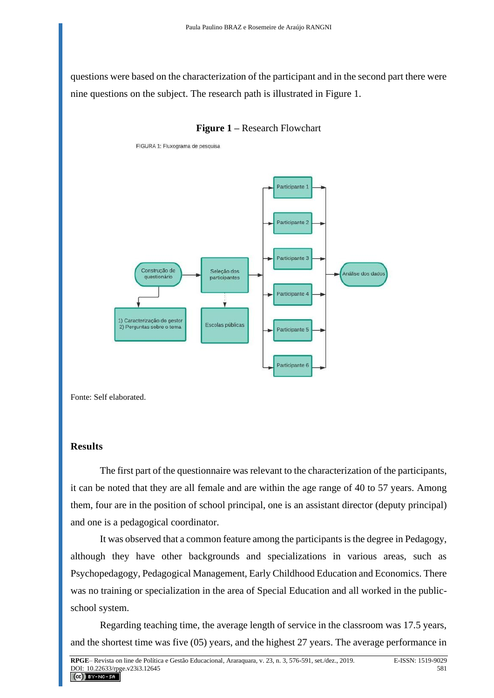questions were based on the characterization of the participant and in the second part there were nine questions on the subject. The research path is illustrated in Figure 1.



FIGURA 1: Fluxograma de pesquisa



Fonte: Self elaborated.

#### **Results**

The first part of the questionnaire was relevant to the characterization of the participants, it can be noted that they are all female and are within the age range of 40 to 57 years. Among them, four are in the position of school principal, one is an assistant director (deputy principal) and one is a pedagogical coordinator.

It was observed that a common feature among the participants is the degree in Pedagogy, although they have other backgrounds and specializations in various areas, such as Psychopedagogy, Pedagogical Management, Early Childhood Education and Economics. There was no training or specialization in the area of Special Education and all worked in the publicschool system.

Regarding teaching time, the average length of service in the classroom was 17.5 years, and the shortest time was five (05) years, and the highest 27 years. The average performance in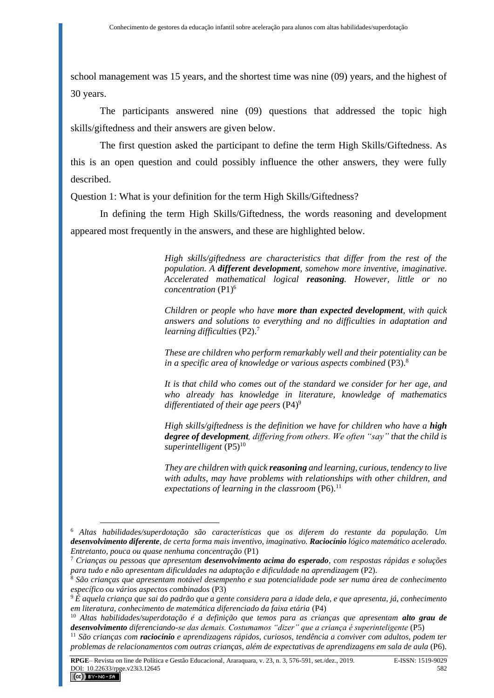school management was 15 years, and the shortest time was nine (09) years, and the highest of 30 years.

The participants answered nine (09) questions that addressed the topic high skills/giftedness and their answers are given below.

The first question asked the participant to define the term High Skills/Giftedness. As this is an open question and could possibly influence the other answers, they were fully described.

Question 1: What is your definition for the term High Skills/Giftedness?

In defining the term High Skills/Giftedness, the words reasoning and development appeared most frequently in the answers, and these are highlighted below.

> *High skills/giftedness are characteristics that differ from the rest of the population. A different development, somehow more inventive, imaginative. Accelerated mathematical logical reasoning. However, little or no concentration* (P1)<sup>6</sup>

> *Children or people who have more than expected development, with quick answers and solutions to everything and no difficulties in adaptation and learning difficulties* (P2).<sup>7</sup>

> *These are children who perform remarkably well and their potentiality can be in a specific area of knowledge or various aspects combined* (P3).<sup>8</sup>

> *It is that child who comes out of the standard we consider for her age, and who already has knowledge in literature, knowledge of mathematics differentiated of their age peers* (P4)<sup>9</sup>

> *High skills/giftedness is the definition we have for children who have a high degree of development, differing from others. We often "say" that the child is*  superintelligent (P5)<sup>10</sup>

> *They are children with quick reasoning and learning, curious, tendency to live with adults, may have problems with relationships with other children, and expectations of learning in the classroom* (P6).<sup>11</sup>

<sup>6</sup> *Altas habilidades/superdotação são características que os diferem do restante da população. Um desenvolvimento diferente, de certa forma mais inventivo, imaginativo. Raciocínio lógico matemático acelerado. Entretanto, pouca ou quase nenhuma concentração* (P1)

<sup>7</sup> *Crianças ou pessoas que apresentam desenvolvimento acima do esperado, com respostas rápidas e soluções para tudo e não apresentam dificuldades na adaptação e dificuldade na aprendizagem* (P2).

<sup>8</sup> *São crianças que apresentam notável desempenho e sua potencialidade pode ser numa área de conhecimento específico ou vários aspectos combinados* (P3)

<sup>9</sup> *É aquela criança que sai do padrão que a gente considera para a idade dela, e que apresenta, já, conhecimento em literatura, conhecimento de matemática diferenciado da faixa etária* (P4)

<sup>10</sup> *Altas habilidades/superdotação é a definição que temos para as crianças que apresentam alto grau de desenvolvimento diferenciando-se das demais. Costumamos "dizer" que a criança é superinteligente* (P5)

<sup>11</sup> *São crianças com raciocínio e aprendizagens rápidos, curiosos, tendência a conviver com adultos, podem ter problemas de relacionamentos com outras crianças, além de expectativas de aprendizagens em sala de aula* (P6).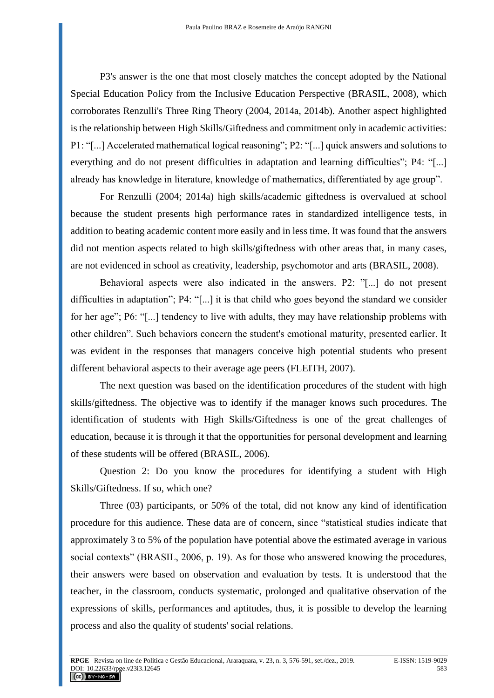P3's answer is the one that most closely matches the concept adopted by the National Special Education Policy from the Inclusive Education Perspective (BRASIL, 2008), which corroborates Renzulli's Three Ring Theory (2004, 2014a, 2014b). Another aspect highlighted is the relationship between High Skills/Giftedness and commitment only in academic activities: P1: "[...] Accelerated mathematical logical reasoning"; P2: "[...] quick answers and solutions to everything and do not present difficulties in adaptation and learning difficulties"; P4: "[...] already has knowledge in literature, knowledge of mathematics, differentiated by age group".

For Renzulli (2004; 2014a) high skills/academic giftedness is overvalued at school because the student presents high performance rates in standardized intelligence tests, in addition to beating academic content more easily and in less time. It was found that the answers did not mention aspects related to high skills/giftedness with other areas that, in many cases, are not evidenced in school as creativity, leadership, psychomotor and arts (BRASIL, 2008).

Behavioral aspects were also indicated in the answers. P2: "[...] do not present difficulties in adaptation"; P4: "[...] it is that child who goes beyond the standard we consider for her age"; P6: "[...] tendency to live with adults, they may have relationship problems with other children". Such behaviors concern the student's emotional maturity, presented earlier. It was evident in the responses that managers conceive high potential students who present different behavioral aspects to their average age peers (FLEITH, 2007).

The next question was based on the identification procedures of the student with high skills/giftedness. The objective was to identify if the manager knows such procedures. The identification of students with High Skills/Giftedness is one of the great challenges of education, because it is through it that the opportunities for personal development and learning of these students will be offered (BRASIL, 2006).

Question 2: Do you know the procedures for identifying a student with High Skills/Giftedness. If so, which one?

Three (03) participants, or 50% of the total, did not know any kind of identification procedure for this audience. These data are of concern, since "statistical studies indicate that approximately 3 to 5% of the population have potential above the estimated average in various social contexts" (BRASIL, 2006, p. 19). As for those who answered knowing the procedures, their answers were based on observation and evaluation by tests. It is understood that the teacher, in the classroom, conducts systematic, prolonged and qualitative observation of the expressions of skills, performances and aptitudes, thus, it is possible to develop the learning process and also the quality of students' social relations.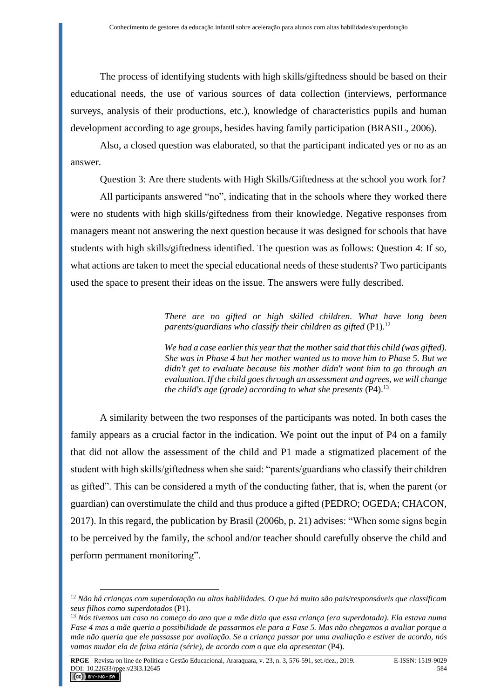The process of identifying students with high skills/giftedness should be based on their educational needs, the use of various sources of data collection (interviews, performance surveys, analysis of their productions, etc.), knowledge of characteristics pupils and human development according to age groups, besides having family participation (BRASIL, 2006).

Also, a closed question was elaborated, so that the participant indicated yes or no as an answer.

Question 3: Are there students with High Skills/Giftedness at the school you work for?

All participants answered "no", indicating that in the schools where they worked there were no students with high skills/giftedness from their knowledge. Negative responses from managers meant not answering the next question because it was designed for schools that have students with high skills/giftedness identified. The question was as follows: Question 4: If so, what actions are taken to meet the special educational needs of these students? Two participants used the space to present their ideas on the issue. The answers were fully described.

> *There are no gifted or high skilled children. What have long been parents/guardians who classify their children as gifted* (P1).<sup>12</sup>

> *We had a case earlier this year that the mother said that this child (was gifted). She was in Phase 4 but her mother wanted us to move him to Phase 5. But we didn't get to evaluate because his mother didn't want him to go through an evaluation. If the child goes through an assessment and agrees, we will change the child's age (grade) according to what she presents* (P4).<sup>13</sup>

A similarity between the two responses of the participants was noted. In both cases the family appears as a crucial factor in the indication. We point out the input of P4 on a family that did not allow the assessment of the child and P1 made a stigmatized placement of the student with high skills/giftedness when she said: "parents/guardians who classify their children as gifted". This can be considered a myth of the conducting father, that is, when the parent (or guardian) can overstimulate the child and thus produce a gifted (PEDRO; OGEDA; CHACON, 2017). In this regard, the publication by Brasil (2006b, p. 21) advises: "When some signs begin to be perceived by the family, the school and/or teacher should carefully observe the child and perform permanent monitoring".

<sup>12</sup> *Não há crianças com superdotação ou altas habilidades. O que há muito são pais/responsáveis que classificam seus filhos como superdotados* (P1).

<sup>13</sup> *Nós tivemos um caso no começo do ano que a mãe dizia que essa criança (era superdotada). Ela estava numa Fase 4 mas a mãe queria a possibilidade de passarmos ele para a Fase 5. Mas não chegamos a avaliar porque a mãe não queria que ele passasse por avaliação. Se a criança passar por uma avaliação e estiver de acordo, nós vamos mudar ela de faixa etária (série), de acordo com o que ela apresentar* (P4).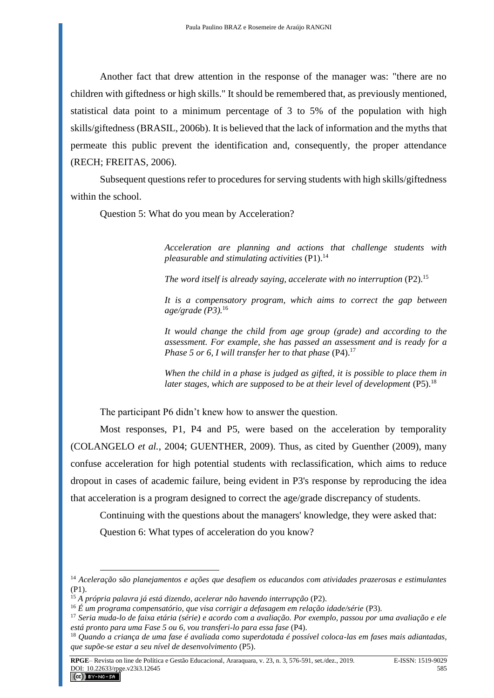Another fact that drew attention in the response of the manager was: "there are no children with giftedness or high skills." It should be remembered that, as previously mentioned, statistical data point to a minimum percentage of 3 to 5% of the population with high skills/giftedness (BRASIL, 2006b). It is believed that the lack of information and the myths that permeate this public prevent the identification and, consequently, the proper attendance (RECH; FREITAS, 2006).

Subsequent questions refer to procedures for serving students with high skills/giftedness within the school.

Question 5: What do you mean by Acceleration?

*Acceleration are planning and actions that challenge students with pleasurable and stimulating activities* (P1).<sup>14</sup>

*The word itself is already saying, accelerate with no interruption* (P2).<sup>15</sup>

*It is a compensatory program, which aims to correct the gap between age/grade (P3).*<sup>16</sup>

*It would change the child from age group (grade) and according to the assessment. For example, she has passed an assessment and is ready for a Phase 5 or 6, I will transfer her to that phase* (P4).<sup>17</sup>

*When the child in a phase is judged as gifted, it is possible to place them in*  later stages, which are supposed to be at their level of development (P5).<sup>18</sup>

The participant P6 didn't knew how to answer the question.

Most responses, P1, P4 and P5, were based on the acceleration by temporality (COLANGELO *et al.*, 2004; GUENTHER, 2009). Thus, as cited by Guenther (2009), many confuse acceleration for high potential students with reclassification, which aims to reduce dropout in cases of academic failure, being evident in P3's response by reproducing the idea that acceleration is a program designed to correct the age/grade discrepancy of students.

Continuing with the questions about the managers' knowledge, they were asked that:

Question 6: What types of acceleration do you know?

<sup>14</sup> *Aceleração são planejamentos e ações que desafiem os educandos com atividades prazerosas e estimulantes* (P1).

<sup>15</sup> *A própria palavra já está dizendo, acelerar não havendo interrupção* (P2).

<sup>16</sup> *É um programa compensatório, que visa corrigir a defasagem em relação idade/série* (P3).

<sup>17</sup> *Seria muda-lo de faixa etária (série) e acordo com a avaliação. Por exemplo, passou por uma avaliação e ele está pronto para uma Fase 5 ou 6, vou transferi-lo para essa fase* (P4).

<sup>18</sup> *Quando a criança de uma fase é avaliada como superdotada é possível coloca-las em fases mais adiantadas, que supõe-se estar a seu nível de desenvolvimento* (P5).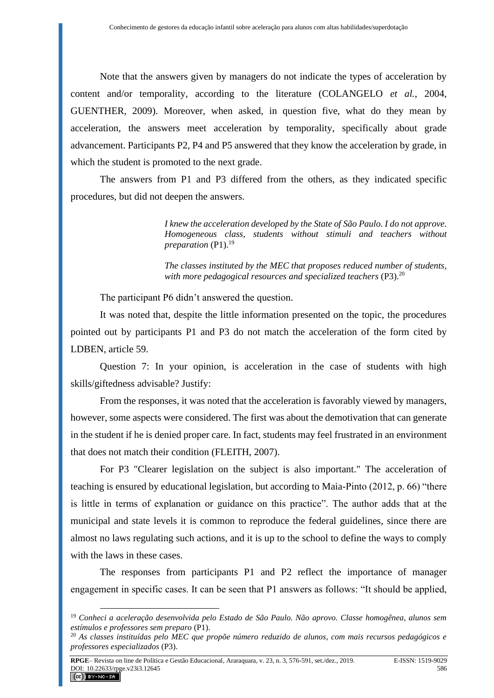Note that the answers given by managers do not indicate the types of acceleration by content and/or temporality, according to the literature (COLANGELO *et al.*, 2004, GUENTHER, 2009). Moreover, when asked, in question five, what do they mean by acceleration, the answers meet acceleration by temporality, specifically about grade advancement. Participants P2, P4 and P5 answered that they know the acceleration by grade, in which the student is promoted to the next grade.

The answers from P1 and P3 differed from the others, as they indicated specific procedures, but did not deepen the answers.

> *I knew the acceleration developed by the State of São Paulo. I do not approve. Homogeneous class, students without stimuli and teachers without preparation* (P1).<sup>19</sup>

> *The classes instituted by the MEC that proposes reduced number of students,*  with more pedagogical resources and specialized teachers (P3).<sup>20</sup>

The participant P6 didn't answered the question.

It was noted that, despite the little information presented on the topic, the procedures pointed out by participants P1 and P3 do not match the acceleration of the form cited by LDBEN, article 59.

Question 7: In your opinion, is acceleration in the case of students with high skills/giftedness advisable? Justify:

From the responses, it was noted that the acceleration is favorably viewed by managers, however, some aspects were considered. The first was about the demotivation that can generate in the student if he is denied proper care. In fact, students may feel frustrated in an environment that does not match their condition (FLEITH, 2007).

For P3 "Clearer legislation on the subject is also important." The acceleration of teaching is ensured by educational legislation, but according to Maia-Pinto (2012, p. 66) "there is little in terms of explanation or guidance on this practice". The author adds that at the municipal and state levels it is common to reproduce the federal guidelines, since there are almost no laws regulating such actions, and it is up to the school to define the ways to comply with the laws in these cases.

The responses from participants P1 and P2 reflect the importance of manager engagement in specific cases. It can be seen that P1 answers as follows: "It should be applied,

<sup>19</sup> *Conheci a aceleração desenvolvida pelo Estado de São Paulo. Não aprovo. Classe homogênea, alunos sem estímulos e professores sem preparo* (P1).

<sup>20</sup> *As classes instituídas pelo MEC que propõe número reduzido de alunos, com mais recursos pedagógicos e professores especializados* (P3).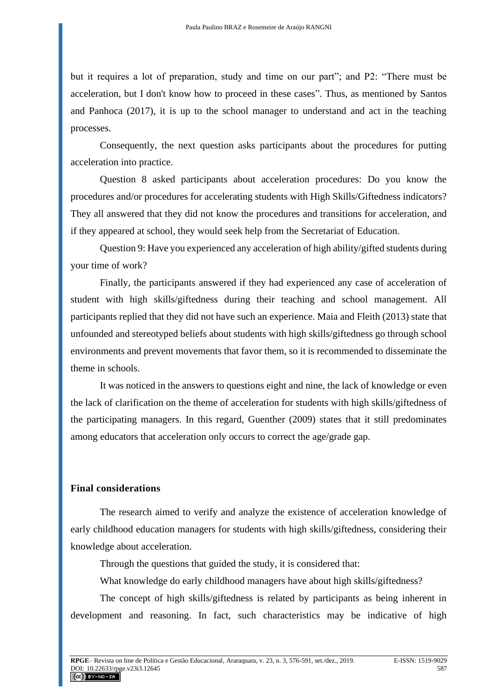but it requires a lot of preparation, study and time on our part"; and P2: "There must be acceleration, but I don't know how to proceed in these cases". Thus, as mentioned by Santos and Panhoca (2017), it is up to the school manager to understand and act in the teaching processes.

Consequently, the next question asks participants about the procedures for putting acceleration into practice.

Question 8 asked participants about acceleration procedures: Do you know the procedures and/or procedures for accelerating students with High Skills/Giftedness indicators? They all answered that they did not know the procedures and transitions for acceleration, and if they appeared at school, they would seek help from the Secretariat of Education.

Question 9: Have you experienced any acceleration of high ability/gifted students during your time of work?

Finally, the participants answered if they had experienced any case of acceleration of student with high skills/giftedness during their teaching and school management. All participants replied that they did not have such an experience. Maia and Fleith (2013) state that unfounded and stereotyped beliefs about students with high skills/giftedness go through school environments and prevent movements that favor them, so it is recommended to disseminate the theme in schools.

It was noticed in the answers to questions eight and nine, the lack of knowledge or even the lack of clarification on the theme of acceleration for students with high skills/giftedness of the participating managers. In this regard, Guenther (2009) states that it still predominates among educators that acceleration only occurs to correct the age/grade gap.

#### **Final considerations**

The research aimed to verify and analyze the existence of acceleration knowledge of early childhood education managers for students with high skills/giftedness, considering their knowledge about acceleration.

Through the questions that guided the study, it is considered that:

What knowledge do early childhood managers have about high skills/giftedness?

The concept of high skills/giftedness is related by participants as being inherent in development and reasoning. In fact, such characteristics may be indicative of high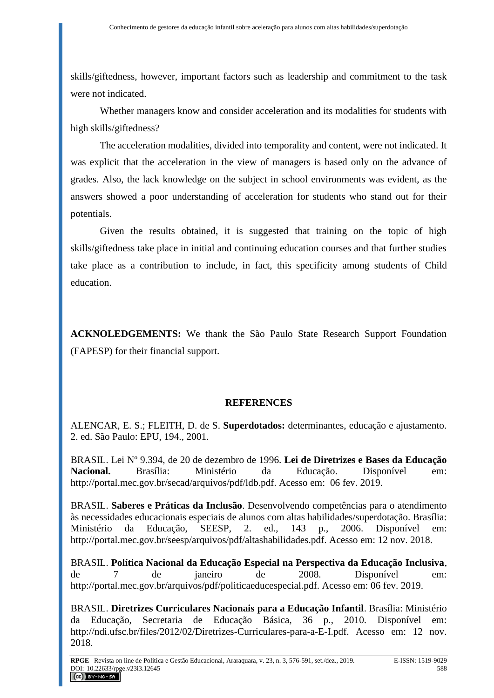skills/giftedness, however, important factors such as leadership and commitment to the task were not indicated.

Whether managers know and consider acceleration and its modalities for students with high skills/giftedness?

The acceleration modalities, divided into temporality and content, were not indicated. It was explicit that the acceleration in the view of managers is based only on the advance of grades. Also, the lack knowledge on the subject in school environments was evident, as the answers showed a poor understanding of acceleration for students who stand out for their potentials.

Given the results obtained, it is suggested that training on the topic of high skills/giftedness take place in initial and continuing education courses and that further studies take place as a contribution to include, in fact, this specificity among students of Child education.

**ACKNOLEDGEMENTS:** We thank the São Paulo State Research Support Foundation (FAPESP) for their financial support.

# **REFERENCES**

ALENCAR, E. S.; FLEITH, D. de S. **Superdotados:** determinantes, educação e ajustamento. 2. ed. São Paulo: EPU, 194., 2001.

BRASIL. Lei Nº 9.394, de 20 de dezembro de 1996. **Lei de Diretrizes e Bases da Educação Nacional.** Brasília: Ministério da Educação. Disponível em: http://portal.mec.gov.br/secad/arquivos/pdf/ldb.pdf. Acesso em: 06 fev. 2019.

BRASIL. **Saberes e Práticas da Inclusão**. Desenvolvendo competências para o atendimento às necessidades educacionais especiais de alunos com altas habilidades/superdotação. Brasília: Ministério da Educação, SEESP, 2. ed., 143 p., 2006. Disponível em: http://portal.mec.gov.br/seesp/arquivos/pdf/altashabilidades.pdf. Acesso em: 12 nov. 2018.

BRASIL. **Política Nacional da Educação Especial na Perspectiva da Educação Inclusiva**, de 7 de janeiro de 2008. Disponível em: http://portal.mec.gov.br/arquivos/pdf/politicaeducespecial.pdf. Acesso em: 06 fev. 2019.

BRASIL. **Diretrizes Curriculares Nacionais para a Educação Infantil**. Brasília: Ministério da Educação, Secretaria de Educação Básica, 36 p., 2010. Disponível em: http://ndi.ufsc.br/files/2012/02/Diretrizes-Curriculares-para-a-E-I.pdf. Acesso em: 12 nov. 2018.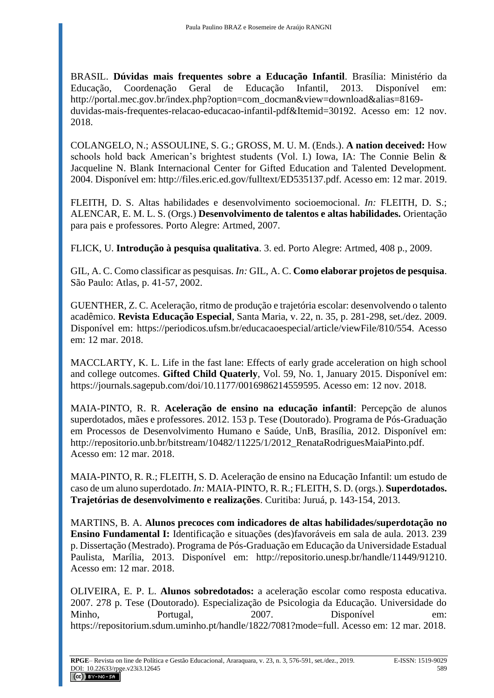BRASIL. **Dúvidas mais frequentes sobre a Educação Infantil**. Brasília: Ministério da Educação, Coordenação Geral de Educação Infantil, 2013. Disponível em: http://portal.mec.gov.br/index.php?option=com\_docman&view=download&alias=8169 duvidas-mais-frequentes-relacao-educacao-infantil-pdf&Itemid=30192. Acesso em: 12 nov. 2018.

COLANGELO, N.; ASSOULINE, S. G.; GROSS, M. U. M. (Ends.). **A nation deceived:** How schools hold back American's brightest students (Vol. I.) Iowa, IA: The Connie Belin & Jacqueline N. Blank Internacional Center for Gifted Education and Talented Development. 2004. Disponível em: http://files.eric.ed.gov/fulltext/ED535137.pdf. Acesso em: 12 mar. 2019.

FLEITH, D. S. Altas habilidades e desenvolvimento socioemocional. *In:* FLEITH, D. S.; ALENCAR, E. M. L. S. (Orgs.) **Desenvolvimento de talentos e altas habilidades.** Orientação para pais e professores. Porto Alegre: Artmed, 2007.

FLICK, U. **Introdução à pesquisa qualitativa**. 3. ed. Porto Alegre: Artmed, 408 p., 2009.

GIL, A. C. Como classificar as pesquisas. *In:* GIL, A. C. **Como elaborar projetos de pesquisa**. São Paulo: Atlas, p. 41-57, 2002.

GUENTHER, Z. C. Aceleração, ritmo de produção e trajetória escolar: desenvolvendo o talento acadêmico. **Revista Educação Especial**, Santa Maria, v. 22, n. 35, p. 281-298, set./dez. 2009. Disponível em: https://periodicos.ufsm.br/educacaoespecial/article/viewFile/810/554. Acesso em: 12 mar. 2018.

MACCLARTY, K. L. Life in the fast lane: Effects of early grade acceleration on high school and college outcomes. **Gifted Child Quaterly**, Vol. 59, No. 1, January 2015. Disponível em: https://journals.sagepub.com/doi/10.1177/0016986214559595. Acesso em: 12 nov. 2018.

MAIA-PINTO, R. R. **Aceleração de ensino na educação infantil**: Percepção de alunos superdotados, mães e professores. 2012. 153 p. Tese (Doutorado). Programa de Pós-Graduação em Processos de Desenvolvimento Humano e Saúde, UnB, Brasília, 2012. Disponível em: http://repositorio.unb.br/bitstream/10482/11225/1/2012\_RenataRodriguesMaiaPinto.pdf. Acesso em: 12 mar. 2018.

MAIA-PINTO, R. R.; FLEITH, S. D. Aceleração de ensino na Educação Infantil: um estudo de caso de um aluno superdotado. *In:* MAIA-PINTO, R. R.; FLEITH, S. D. (orgs.). **Superdotados. Trajetórias de desenvolvimento e realizações**. Curitiba: Juruá, p. 143-154, 2013.

MARTINS, B. A. **Alunos precoces com indicadores de altas habilidades/superdotação no Ensino Fundamental I:** Identificação e situações (des)favoráveis em sala de aula. 2013. 239 p. Dissertação (Mestrado). Programa de Pós-Graduação em Educação da Universidade Estadual Paulista, Marília, 2013. Disponível em: http://repositorio.unesp.br/handle/11449/91210. Acesso em: 12 mar. 2018.

OLIVEIRA, E. P. L. **Alunos sobredotados:** a aceleração escolar como resposta educativa. 2007. 278 p. Tese (Doutorado). Especialização de Psicologia da Educação. Universidade do Minho, Portugal, 2007. Disponível em: https://repositorium.sdum.uminho.pt/handle/1822/7081?mode=full. Acesso em: 12 mar. 2018.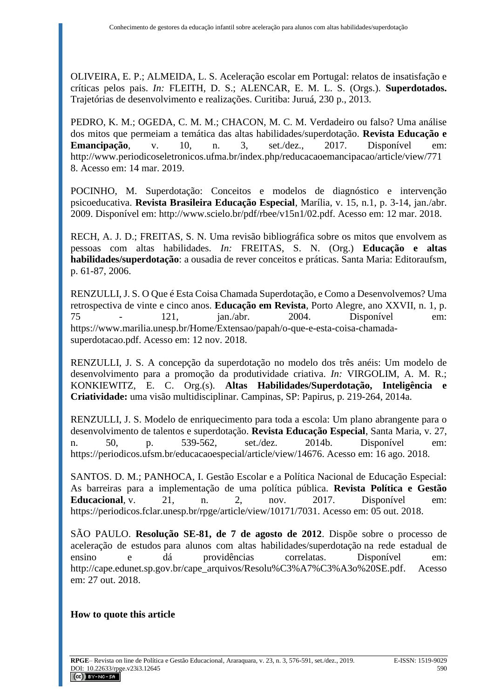OLIVEIRA, E. P.; ALMEIDA, L. S. Aceleração escolar em Portugal: relatos de insatisfação e críticas pelos pais. *In:* FLEITH, D. S.; ALENCAR, E. M. L. S. (Orgs.). **Superdotados.** Trajetórias de desenvolvimento e realizações. Curitiba: Juruá, 230 p., 2013.

PEDRO, K. M.; OGEDA, C. M. M.; CHACON, M. C. M. Verdadeiro ou falso? Uma análise dos mitos que permeiam a temática das altas habilidades/superdotação. **Revista Educação e Emancipação**, v. 10, n. 3, set./dez., 2017. Disponível em: http://www.periodicoseletronicos.ufma.br/index.php/reducacaoemancipacao/article/view/771 8. Acesso em: 14 mar. 2019.

POCINHO, M. Superdotação: Conceitos e modelos de diagnóstico e intervenção psicoeducativa. **Revista Brasileira Educação Especial**, Marília, v. 15, n.1, p. 3-14, jan./abr. 2009. Disponível em: http://www.scielo.br/pdf/rbee/v15n1/02.pdf. Acesso em: 12 mar. 2018.

RECH, A. J. D.; FREITAS, S. N. Uma revisão bibliográfica sobre os mitos que envolvem as pessoas com altas habilidades. *In:* FREITAS, S. N. (Org.) **Educação e altas habilidades/superdotação**: a ousadia de rever conceitos e práticas. Santa Maria: Editoraufsm, p. 61-87, 2006.

RENZULLI, J. S. O Que é Esta Coisa Chamada Superdotação, e Como a Desenvolvemos? Uma retrospectiva de vinte e cinco anos. **Educação em Revista**, Porto Alegre, ano XXVII, n. 1, p. 75 - 121, jan./abr. 2004. Disponível em: https://www.marilia.unesp.br/Home/Extensao/papah/o-que-e-esta-coisa-chamadasuperdotacao.pdf. Acesso em: 12 nov. 2018.

RENZULLI, J. S. A concepção da superdotação no modelo dos três anéis: Um modelo de desenvolvimento para a promoção da produtividade criativa. *In:* VIRGOLIM, A. M. R.; KONKIEWITZ, E. C. Org.(s). **Altas Habilidades/Superdotação, Inteligência e Criatividade:** uma visão multidisciplinar. Campinas, SP: Papirus, p. 219-264, 2014a.

RENZULLI, J. S. Modelo de enriquecimento para toda a escola: Um plano abrangente para o desenvolvimento de talentos e superdotação. **Revista Educação Especial**, Santa Maria, v. 27, n. 50, p. 539-562, set./dez. 2014b. Disponível em: https://periodicos.ufsm.br/educacaoespecial/article/view/14676. Acesso em: 16 ago. 2018.

SANTOS. D. M.; PANHOCA, I. Gestão Escolar e a Política Nacional de Educação Especial: As barreiras para a implementação de uma política pública. **Revista Política e Gestão Educacional**, v. 21, n. 2, nov. 2017. Disponível em: https://periodicos.fclar.unesp.br/rpge/article/view/10171/7031. Acesso em: 05 out. 2018.

SÃO PAULO. **Resolução SE-81, de 7 de agosto de 2012**. Dispõe sobre o processo de aceleração de estudos para alunos com altas habilidades/superdotação na rede estadual de ensino e dá providências correlatas. Disponível em: http://cape.edunet.sp.gov.br/cape\_arquivos/Resolu%C3%A7%C3%A3o%20SE.pdf. Acesso em: 27 out. 2018.

### **How to quote this article**